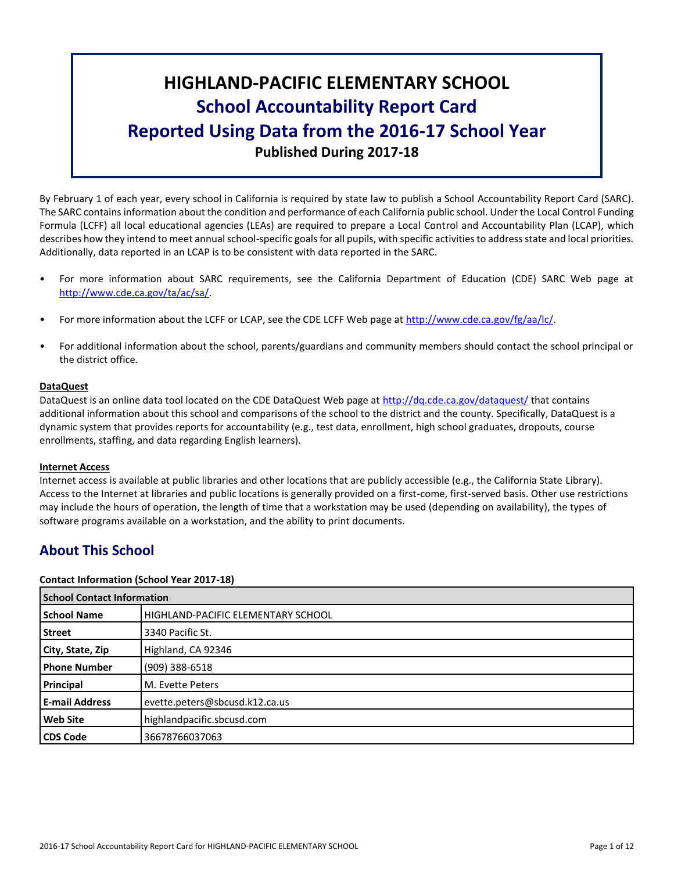# **HIGHLAND-PACIFIC ELEMENTARY SCHOOL School Accountability Report Card Reported Using Data from the 2016-17 School Year Published During 2017-18**

By February 1 of each year, every school in California is required by state law to publish a School Accountability Report Card (SARC). The SARC contains information about the condition and performance of each California public school. Under the Local Control Funding Formula (LCFF) all local educational agencies (LEAs) are required to prepare a Local Control and Accountability Plan (LCAP), which describes how they intend to meet annual school-specific goals for all pupils, with specific activities to address state and local priorities. Additionally, data reported in an LCAP is to be consistent with data reported in the SARC.

- For more information about SARC requirements, see the California Department of Education (CDE) SARC Web page at [http://www.cde.ca.gov/ta/ac/sa/.](http://www.cde.ca.gov/ta/ac/sa/)
- For more information about the LCFF or LCAP, see the CDE LCFF Web page at [http://www.cde.ca.gov/fg/aa/lc/.](http://www.cde.ca.gov/fg/aa/lc/)
- For additional information about the school, parents/guardians and community members should contact the school principal or the district office.

#### **DataQuest**

DataQuest is an online data tool located on the CDE DataQuest Web page at<http://dq.cde.ca.gov/dataquest/> that contains additional information about this school and comparisons of the school to the district and the county. Specifically, DataQuest is a dynamic system that provides reports for accountability (e.g., test data, enrollment, high school graduates, dropouts, course enrollments, staffing, and data regarding English learners).

#### **Internet Access**

Internet access is available at public libraries and other locations that are publicly accessible (e.g., the California State Library). Access to the Internet at libraries and public locations is generally provided on a first-come, first-served basis. Other use restrictions may include the hours of operation, the length of time that a workstation may be used (depending on availability), the types of software programs available on a workstation, and the ability to print documents.

# **About This School**

#### **Contact Information (School Year 2017-18)**

| <b>School Contact Information</b> |                                    |  |  |  |  |
|-----------------------------------|------------------------------------|--|--|--|--|
| <b>School Name</b>                | HIGHLAND-PACIFIC ELEMENTARY SCHOOL |  |  |  |  |
| <b>Street</b>                     | 3340 Pacific St.                   |  |  |  |  |
| City, State, Zip                  | Highland, CA 92346                 |  |  |  |  |
| <b>Phone Number</b>               | (909) 388-6518                     |  |  |  |  |
| Principal                         | M. Evette Peters                   |  |  |  |  |
| <b>E-mail Address</b>             | evette.peters@sbcusd.k12.ca.us     |  |  |  |  |
| <b>Web Site</b>                   | highlandpacific.sbcusd.com         |  |  |  |  |
| <b>CDS Code</b>                   | 36678766037063                     |  |  |  |  |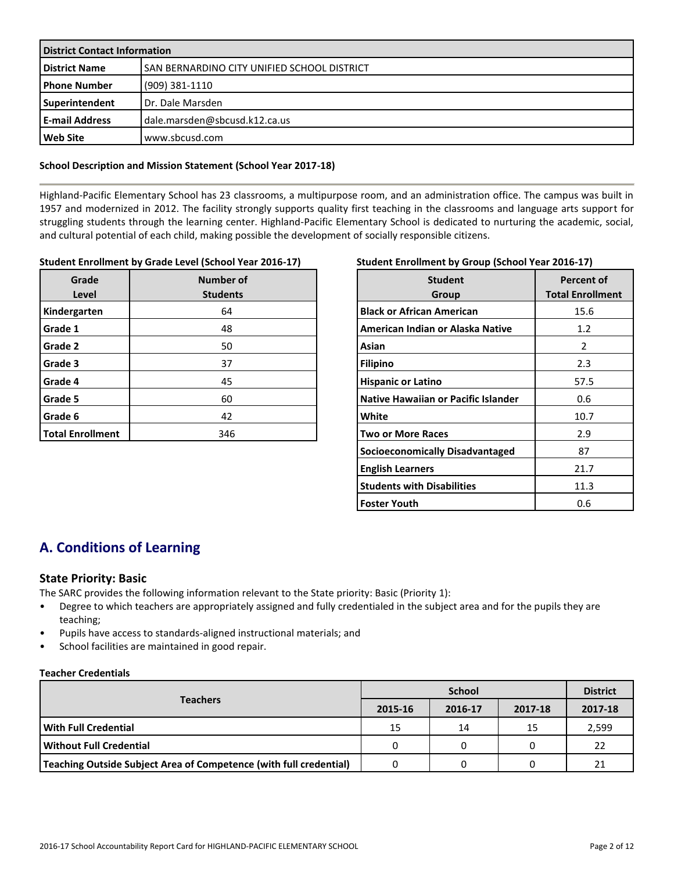| <b>District Contact Information</b> |                                             |  |  |  |
|-------------------------------------|---------------------------------------------|--|--|--|
| <b>District Name</b>                | SAN BERNARDINO CITY UNIFIED SCHOOL DISTRICT |  |  |  |
| l Phone Number                      | (909) 381-1110                              |  |  |  |
| Superintendent                      | Dr. Dale Marsden                            |  |  |  |
| l E-mail Address                    | dale.marsden@sbcusd.k12.ca.us               |  |  |  |
| <b>Web Site</b>                     | www.sbcusd.com                              |  |  |  |

#### **School Description and Mission Statement (School Year 2017-18)**

Highland-Pacific Elementary School has 23 classrooms, a multipurpose room, and an administration office. The campus was built in 1957 and modernized in 2012. The facility strongly supports quality first teaching in the classrooms and language arts support for struggling students through the learning center. Highland-Pacific Elementary School is dedicated to nurturing the academic, social, and cultural potential of each child, making possible the development of socially responsible citizens.

#### **Student Enrollment by Grade Level (School Year 2016-17)**

| Grade<br>Level          | Number of<br><b>Students</b> |
|-------------------------|------------------------------|
| Kindergarten            | 64                           |
| Grade 1                 | 48                           |
| Grade 2                 | 50                           |
| Grade 3                 | 37                           |
| Grade 4                 | 45                           |
| Grade 5                 | 60                           |
| Grade 6                 | 42                           |
| <b>Total Enrollment</b> | 346                          |

#### **Student Enrollment by Group (School Year 2016-17)**

| <b>Student</b><br>Group                    | Percent of<br><b>Total Enrollment</b> |
|--------------------------------------------|---------------------------------------|
| <b>Black or African American</b>           | 15.6                                  |
| American Indian or Alaska Native           | 1.2                                   |
| Asian                                      | 2                                     |
| <b>Filipino</b>                            | 2.3                                   |
| <b>Hispanic or Latino</b>                  | 57.5                                  |
| <b>Native Hawaiian or Pacific Islander</b> | 0.6                                   |
| White                                      | 10.7                                  |
| <b>Two or More Races</b>                   | 2.9                                   |
| Socioeconomically Disadvantaged            | 87                                    |
| <b>English Learners</b>                    | 21.7                                  |
| <b>Students with Disabilities</b>          | 11.3                                  |
| <b>Foster Youth</b>                        | 0.6                                   |

# **A. Conditions of Learning**

#### **State Priority: Basic**

The SARC provides the following information relevant to the State priority: Basic (Priority 1):

- Degree to which teachers are appropriately assigned and fully credentialed in the subject area and for the pupils they are teaching;
- Pupils have access to standards-aligned instructional materials; and
- School facilities are maintained in good repair.

#### **Teacher Credentials**

|                                                                    |         | <b>District</b> |         |         |
|--------------------------------------------------------------------|---------|-----------------|---------|---------|
| <b>Teachers</b>                                                    | 2015-16 | 2016-17         | 2017-18 | 2017-18 |
| With Full Credential                                               | 15      | 14              | 15      | 2,599   |
| Without Full Credential                                            |         |                 |         | 22      |
| Teaching Outside Subject Area of Competence (with full credential) |         |                 |         | 21      |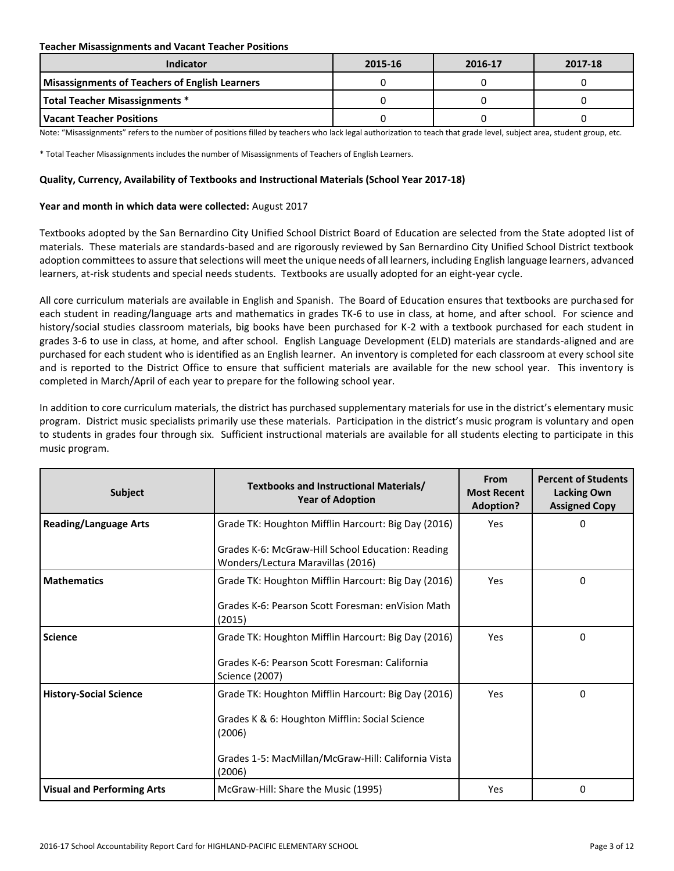#### **Teacher Misassignments and Vacant Teacher Positions**

| Indicator                                             | 2015-16 | 2016-17 | 2017-18 |
|-------------------------------------------------------|---------|---------|---------|
| <b>Misassignments of Teachers of English Learners</b> |         |         |         |
| <b>Total Teacher Misassignments *</b>                 |         |         |         |
| l Vacant Teacher Positions                            |         |         |         |

Note: "Misassignments" refers to the number of positions filled by teachers who lack legal authorization to teach that grade level, subject area, student group, etc.

\* Total Teacher Misassignments includes the number of Misassignments of Teachers of English Learners.

#### **Quality, Currency, Availability of Textbooks and Instructional Materials (School Year 2017-18)**

#### **Year and month in which data were collected:** August 2017

Textbooks adopted by the San Bernardino City Unified School District Board of Education are selected from the State adopted list of materials. These materials are standards-based and are rigorously reviewed by San Bernardino City Unified School District textbook adoption committees to assure that selections will meet the unique needs of all learners, including English language learners, advanced learners, at-risk students and special needs students. Textbooks are usually adopted for an eight-year cycle.

All core curriculum materials are available in English and Spanish. The Board of Education ensures that textbooks are purchased for each student in reading/language arts and mathematics in grades TK-6 to use in class, at home, and after school. For science and history/social studies classroom materials, big books have been purchased for K-2 with a textbook purchased for each student in grades 3-6 to use in class, at home, and after school. English Language Development (ELD) materials are standards-aligned and are purchased for each student who is identified as an English learner. An inventory is completed for each classroom at every school site and is reported to the District Office to ensure that sufficient materials are available for the new school year. This inventory is completed in March/April of each year to prepare for the following school year.

In addition to core curriculum materials, the district has purchased supplementary materials for use in the district's elementary music program. District music specialists primarily use these materials. Participation in the district's music program is voluntary and open to students in grades four through six. Sufficient instructional materials are available for all students electing to participate in this music program.

| <b>Subject</b>                    | Textbooks and Instructional Materials/<br><b>Year of Adoption</b>                      | From<br><b>Most Recent</b><br><b>Adoption?</b> | <b>Percent of Students</b><br><b>Lacking Own</b><br><b>Assigned Copy</b> |
|-----------------------------------|----------------------------------------------------------------------------------------|------------------------------------------------|--------------------------------------------------------------------------|
| <b>Reading/Language Arts</b>      | Grade TK: Houghton Mifflin Harcourt: Big Day (2016)                                    | Yes                                            | 0                                                                        |
|                                   | Grades K-6: McGraw-Hill School Education: Reading<br>Wonders/Lectura Maravillas (2016) |                                                |                                                                          |
| <b>Mathematics</b>                | Grade TK: Houghton Mifflin Harcourt: Big Day (2016)                                    | Yes                                            | 0                                                                        |
|                                   | Grades K-6: Pearson Scott Foresman: enVision Math<br>(2015)                            |                                                |                                                                          |
| <b>Science</b>                    | Grade TK: Houghton Mifflin Harcourt: Big Day (2016)                                    | Yes                                            | 0                                                                        |
|                                   | Grades K-6: Pearson Scott Foresman: California<br>Science (2007)                       |                                                |                                                                          |
| <b>History-Social Science</b>     | Grade TK: Houghton Mifflin Harcourt: Big Day (2016)                                    | Yes                                            | 0                                                                        |
|                                   | Grades K & 6: Houghton Mifflin: Social Science<br>(2006)                               |                                                |                                                                          |
|                                   | Grades 1-5: MacMillan/McGraw-Hill: California Vista<br>(2006)                          |                                                |                                                                          |
| <b>Visual and Performing Arts</b> | McGraw-Hill: Share the Music (1995)                                                    | Yes                                            | 0                                                                        |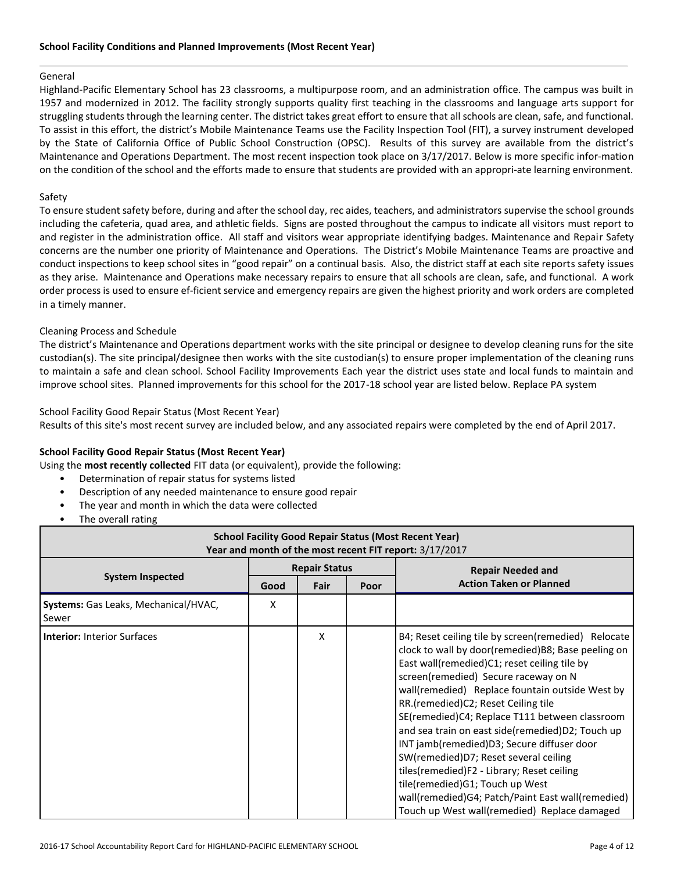#### General

Highland-Pacific Elementary School has 23 classrooms, a multipurpose room, and an administration office. The campus was built in 1957 and modernized in 2012. The facility strongly supports quality first teaching in the classrooms and language arts support for struggling students through the learning center. The district takes great effort to ensure that all schools are clean, safe, and functional. To assist in this effort, the district's Mobile Maintenance Teams use the Facility Inspection Tool (FIT), a survey instrument developed by the State of California Office of Public School Construction (OPSC). Results of this survey are available from the district's Maintenance and Operations Department. The most recent inspection took place on 3/17/2017. Below is more specific infor-mation on the condition of the school and the efforts made to ensure that students are provided with an appropri-ate learning environment.

#### Safety

To ensure student safety before, during and after the school day, rec aides, teachers, and administrators supervise the school grounds including the cafeteria, quad area, and athletic fields. Signs are posted throughout the campus to indicate all visitors must report to and register in the administration office. All staff and visitors wear appropriate identifying badges. Maintenance and Repair Safety concerns are the number one priority of Maintenance and Operations. The District's Mobile Maintenance Teams are proactive and conduct inspections to keep school sites in "good repair" on a continual basis. Also, the district staff at each site reports safety issues as they arise. Maintenance and Operations make necessary repairs to ensure that all schools are clean, safe, and functional. A work order process is used to ensure ef-ficient service and emergency repairs are given the highest priority and work orders are completed in a timely manner.

#### Cleaning Process and Schedule

The district's Maintenance and Operations department works with the site principal or designee to develop cleaning runs for the site custodian(s). The site principal/designee then works with the site custodian(s) to ensure proper implementation of the cleaning runs to maintain a safe and clean school. School Facility Improvements Each year the district uses state and local funds to maintain and improve school sites. Planned improvements for this school for the 2017-18 school year are listed below. Replace PA system

#### School Facility Good Repair Status (Most Recent Year)

Results of this site's most recent survey are included below, and any associated repairs were completed by the end of April 2017.

#### **School Facility Good Repair Status (Most Recent Year)**

Using the **most recently collected** FIT data (or equivalent), provide the following:

- Determination of repair status for systems listed
- Description of any needed maintenance to ensure good repair
- The year and month in which the data were collected
- The overall rating

| <b>School Facility Good Repair Status (Most Recent Year)</b><br>Year and month of the most recent FIT report: 3/17/2017 |                      |      |  |                                                                                                                                                                                                                                                                                                                                                                                                                                                                                                                                                                                                                                                                                  |  |  |
|-------------------------------------------------------------------------------------------------------------------------|----------------------|------|--|----------------------------------------------------------------------------------------------------------------------------------------------------------------------------------------------------------------------------------------------------------------------------------------------------------------------------------------------------------------------------------------------------------------------------------------------------------------------------------------------------------------------------------------------------------------------------------------------------------------------------------------------------------------------------------|--|--|
|                                                                                                                         | <b>Repair Status</b> |      |  | <b>Repair Needed and</b>                                                                                                                                                                                                                                                                                                                                                                                                                                                                                                                                                                                                                                                         |  |  |
| <b>System Inspected</b>                                                                                                 | Good                 | Fair |  | <b>Action Taken or Planned</b>                                                                                                                                                                                                                                                                                                                                                                                                                                                                                                                                                                                                                                                   |  |  |
| Systems: Gas Leaks, Mechanical/HVAC,<br>Sewer                                                                           | X                    |      |  |                                                                                                                                                                                                                                                                                                                                                                                                                                                                                                                                                                                                                                                                                  |  |  |
| <b>Interior: Interior Surfaces</b>                                                                                      |                      | x    |  | B4; Reset ceiling tile by screen(remedied) Relocate<br>clock to wall by door(remedied)B8; Base peeling on<br>East wall(remedied)C1; reset ceiling tile by<br>screen(remedied) Secure raceway on N<br>wall(remedied) Replace fountain outside West by<br>RR. (remedied)C2; Reset Ceiling tile<br>SE(remedied)C4; Replace T111 between classroom<br>and sea train on east side(remedied)D2; Touch up<br>INT jamb(remedied)D3; Secure diffuser door<br>SW(remedied)D7; Reset several ceiling<br>tiles(remedied)F2 - Library; Reset ceiling<br>tile(remedied) G1; Touch up West<br>wall(remedied)G4; Patch/Paint East wall(remedied)<br>Touch up West wall(remedied) Replace damaged |  |  |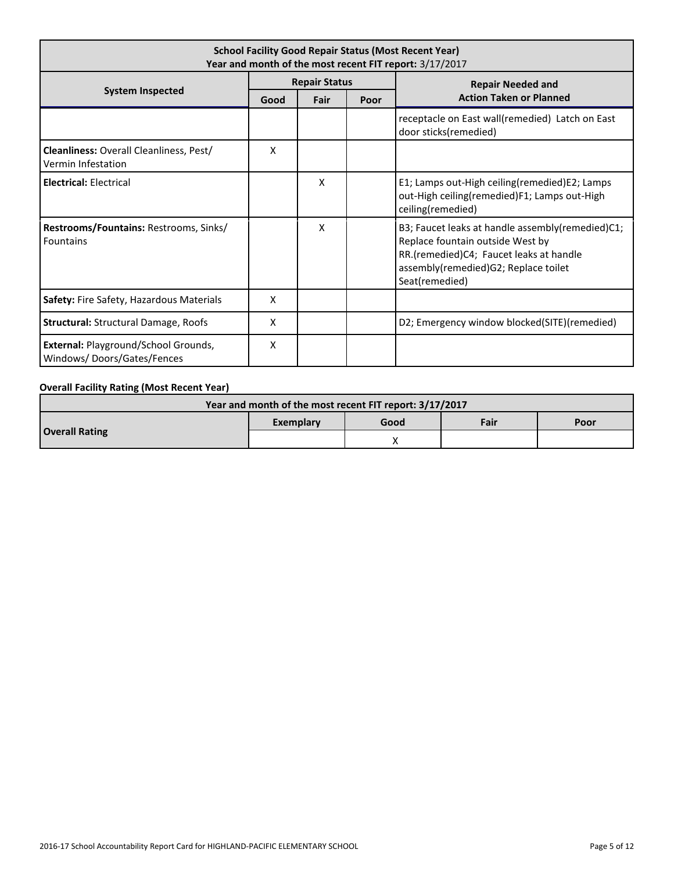| <b>School Facility Good Repair Status (Most Recent Year)</b><br>Year and month of the most recent FIT report: 3/17/2017 |                           |   |  |                                                                                                                                                                                           |  |  |
|-------------------------------------------------------------------------------------------------------------------------|---------------------------|---|--|-------------------------------------------------------------------------------------------------------------------------------------------------------------------------------------------|--|--|
|                                                                                                                         | <b>Repair Status</b>      |   |  | <b>Repair Needed and</b>                                                                                                                                                                  |  |  |
| <b>System Inspected</b>                                                                                                 | Fair<br>Good<br>Poor      |   |  | <b>Action Taken or Planned</b>                                                                                                                                                            |  |  |
|                                                                                                                         |                           |   |  | receptacle on East wall(remedied) Latch on East<br>door sticks(remedied)                                                                                                                  |  |  |
| <b>Cleanliness: Overall Cleanliness, Pest/</b><br>Vermin Infestation                                                    | x                         |   |  |                                                                                                                                                                                           |  |  |
| <b>Electrical: Electrical</b>                                                                                           |                           | x |  | E1; Lamps out-High ceiling(remedied)E2; Lamps<br>out-High ceiling(remedied)F1; Lamps out-High<br>ceiling(remedied)                                                                        |  |  |
| Restrooms/Fountains: Restrooms, Sinks/<br><b>Fountains</b>                                                              |                           | x |  | B3; Faucet leaks at handle assembly(remedied)C1;<br>Replace fountain outside West by<br>RR.(remedied)C4; Faucet leaks at handle<br>assembly(remedied)G2; Replace toilet<br>Seat(remedied) |  |  |
| Safety: Fire Safety, Hazardous Materials                                                                                | X                         |   |  |                                                                                                                                                                                           |  |  |
| Structural: Structural Damage, Roofs                                                                                    | $\boldsymbol{\mathsf{x}}$ |   |  | D2; Emergency window blocked(SITE)(remedied)                                                                                                                                              |  |  |
| External: Playground/School Grounds,<br>Windows/Doors/Gates/Fences                                                      | X                         |   |  |                                                                                                                                                                                           |  |  |

### **Overall Facility Rating (Most Recent Year)**

| Year and month of the most recent FIT report: 3/17/2017 |           |      |      |      |  |  |
|---------------------------------------------------------|-----------|------|------|------|--|--|
| <b>Overall Rating</b>                                   | Exemplary | Good | Fair | Poor |  |  |
|                                                         |           |      |      |      |  |  |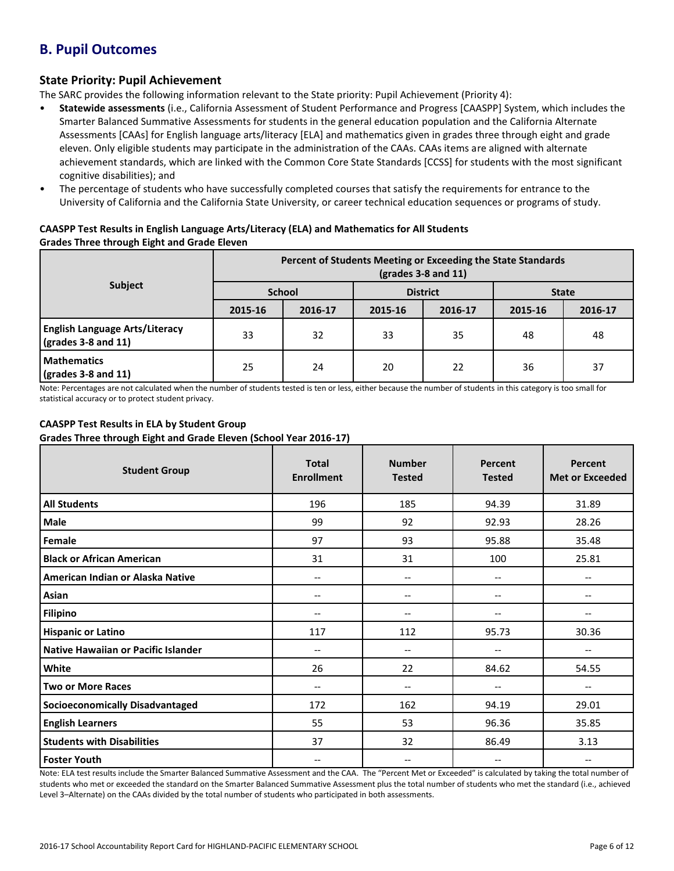# **B. Pupil Outcomes**

### **State Priority: Pupil Achievement**

The SARC provides the following information relevant to the State priority: Pupil Achievement (Priority 4):

- **Statewide assessments** (i.e., California Assessment of Student Performance and Progress [CAASPP] System, which includes the Smarter Balanced Summative Assessments for students in the general education population and the California Alternate Assessments [CAAs] for English language arts/literacy [ELA] and mathematics given in grades three through eight and grade eleven. Only eligible students may participate in the administration of the CAAs. CAAs items are aligned with alternate achievement standards, which are linked with the Common Core State Standards [CCSS] for students with the most significant cognitive disabilities); and
- The percentage of students who have successfully completed courses that satisfy the requirements for entrance to the University of California and the California State University, or career technical education sequences or programs of study.

#### **CAASPP Test Results in English Language Arts/Literacy (ELA) and Mathematics for All Students Grades Three through Eight and Grade Eleven**

|                                                                      | Percent of Students Meeting or Exceeding the State Standards<br>$\left(\text{grades }3 - 8 \text{ and } 11\right)$ |         |                 |         |              |         |  |
|----------------------------------------------------------------------|--------------------------------------------------------------------------------------------------------------------|---------|-----------------|---------|--------------|---------|--|
| <b>Subject</b>                                                       | <b>School</b>                                                                                                      |         | <b>District</b> |         | <b>State</b> |         |  |
|                                                                      | 2015-16                                                                                                            | 2016-17 | 2015-16         | 2016-17 | 2015-16      | 2016-17 |  |
| <b>English Language Arts/Literacy</b><br>$\sqrt{grades}$ 3-8 and 11) | 33                                                                                                                 | 32      | 33              | 35      | 48           | 48      |  |
| <b>Mathematics</b><br>$\sqrt{grades}$ 3-8 and 11)                    | 25                                                                                                                 | 24      | 20              | 22      | 36           | 37      |  |

Note: Percentages are not calculated when the number of students tested is ten or less, either because the number of students in this category is too small for statistical accuracy or to protect student privacy.

### **CAASPP Test Results in ELA by Student Group**

**Grades Three through Eight and Grade Eleven (School Year 2016-17)**

| <b>Student Group</b>                   | <b>Total</b><br><b>Enrollment</b> | <b>Number</b><br><b>Tested</b> | Percent<br><b>Tested</b> | Percent<br><b>Met or Exceeded</b> |
|----------------------------------------|-----------------------------------|--------------------------------|--------------------------|-----------------------------------|
| <b>All Students</b>                    | 196                               | 185                            | 94.39                    | 31.89                             |
| Male                                   | 99                                | 92                             | 92.93                    | 28.26                             |
| Female                                 | 97                                | 93                             | 95.88                    | 35.48                             |
| <b>Black or African American</b>       | 31                                | 31                             | 100                      | 25.81                             |
| American Indian or Alaska Native       | $\hspace{0.05cm} \ldots$          | --                             | --                       | $\hspace{0.05cm} \textbf{--}$     |
| Asian                                  | --                                | --                             | --                       | $\overline{\phantom{a}}$          |
| Filipino                               | $\overline{\phantom{m}}$          | --                             |                          | $\overline{\phantom{m}}$          |
| <b>Hispanic or Latino</b>              | 117                               | 112                            | 95.73                    | 30.36                             |
| Native Hawaiian or Pacific Islander    | $-$                               | --                             | --                       |                                   |
| White                                  | 26                                | 22                             | 84.62                    | 54.55                             |
| <b>Two or More Races</b>               | $\hspace{0.05cm} \ldots$          | --                             | --                       | $\overline{\phantom{m}}$          |
| <b>Socioeconomically Disadvantaged</b> | 172                               | 162                            | 94.19                    | 29.01                             |
| <b>English Learners</b>                | 55                                | 53                             | 96.36                    | 35.85                             |
| <b>Students with Disabilities</b>      | 37                                | 32                             | 86.49                    | 3.13                              |
| <b>Foster Youth</b>                    | $-$                               | --                             | --                       |                                   |

Note: ELA test results include the Smarter Balanced Summative Assessment and the CAA. The "Percent Met or Exceeded" is calculated by taking the total number of students who met or exceeded the standard on the Smarter Balanced Summative Assessment plus the total number of students who met the standard (i.e., achieved Level 3–Alternate) on the CAAs divided by the total number of students who participated in both assessments.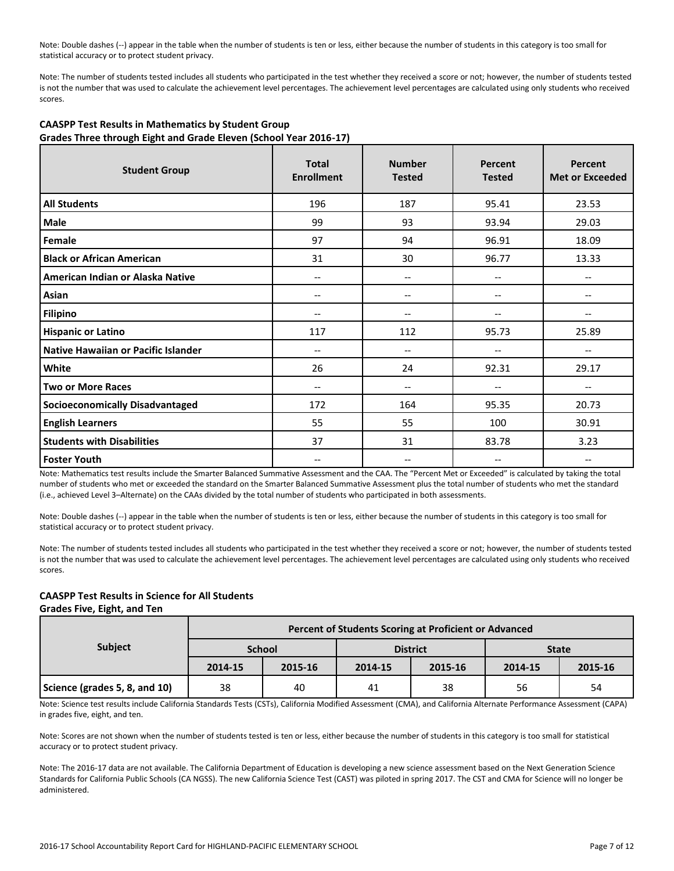Note: Double dashes (--) appear in the table when the number of students is ten or less, either because the number of students in this category is too small for statistical accuracy or to protect student privacy.

Note: The number of students tested includes all students who participated in the test whether they received a score or not; however, the number of students tested is not the number that was used to calculate the achievement level percentages. The achievement level percentages are calculated using only students who received scores.

| <b>Student Group</b>                   | <b>Total</b>      | <b>Number</b>            | Percent       | Percent                |
|----------------------------------------|-------------------|--------------------------|---------------|------------------------|
|                                        | <b>Enrollment</b> | <b>Tested</b>            | <b>Tested</b> | <b>Met or Exceeded</b> |
| <b>All Students</b>                    | 196               | 187                      | 95.41         | 23.53                  |
| Male                                   | 99                | 93                       | 93.94         | 29.03                  |
| Female                                 | 97                | 94                       | 96.91         | 18.09                  |
| <b>Black or African American</b>       | 31                | 30                       | 96.77         | 13.33                  |
| American Indian or Alaska Native       | $-$               | $\overline{\phantom{a}}$ | --            | $-$                    |
| Asian                                  | $-$               | $\overline{\phantom{a}}$ | $-$           | --                     |
| <b>Filipino</b>                        |                   | --                       |               |                        |
| <b>Hispanic or Latino</b>              | 117               | 112                      | 95.73         | 25.89                  |
| Native Hawaiian or Pacific Islander    | --                | --                       |               |                        |
| White                                  | 26                | 24                       | 92.31         | 29.17                  |
| <b>Two or More Races</b>               | $-$               | $\overline{\phantom{a}}$ | --            | $-$                    |
| <b>Socioeconomically Disadvantaged</b> | 172               | 164                      | 95.35         | 20.73                  |
| <b>English Learners</b>                | 55                | 55                       | 100           | 30.91                  |
| <b>Students with Disabilities</b>      | 37                | 31                       | 83.78         | 3.23                   |
| <b>Foster Youth</b>                    | --                | --                       |               |                        |

#### **CAASPP Test Results in Mathematics by Student Group Grades Three through Eight and Grade Eleven (School Year 2016-17)**

Note: Mathematics test results include the Smarter Balanced Summative Assessment and the CAA. The "Percent Met or Exceeded" is calculated by taking the total number of students who met or exceeded the standard on the Smarter Balanced Summative Assessment plus the total number of students who met the standard (i.e., achieved Level 3–Alternate) on the CAAs divided by the total number of students who participated in both assessments.

Note: Double dashes (--) appear in the table when the number of students is ten or less, either because the number of students in this category is too small for statistical accuracy or to protect student privacy.

Note: The number of students tested includes all students who participated in the test whether they received a score or not; however, the number of students tested is not the number that was used to calculate the achievement level percentages. The achievement level percentages are calculated using only students who received scores.

## **CAASPP Test Results in Science for All Students**

#### **Grades Five, Eight, and Ten**

|                               | Percent of Students Scoring at Proficient or Advanced |               |         |                 |              |         |  |  |  |
|-------------------------------|-------------------------------------------------------|---------------|---------|-----------------|--------------|---------|--|--|--|
| <b>Subject</b>                |                                                       | <b>School</b> |         | <b>District</b> | <b>State</b> |         |  |  |  |
|                               | 2014-15                                               | 2015-16       | 2014-15 | 2015-16         | 2014-15      | 2015-16 |  |  |  |
| Science (grades 5, 8, and 10) | 38                                                    | 40            | 41      | 38              | 56           | 54      |  |  |  |

Note: Science test results include California Standards Tests (CSTs), California Modified Assessment (CMA), and California Alternate Performance Assessment (CAPA) in grades five, eight, and ten.

Note: Scores are not shown when the number of students tested is ten or less, either because the number of students in this category is too small for statistical accuracy or to protect student privacy.

Note: The 2016-17 data are not available. The California Department of Education is developing a new science assessment based on the Next Generation Science Standards for California Public Schools (CA NGSS). The new California Science Test (CAST) was piloted in spring 2017. The CST and CMA for Science will no longer be administered.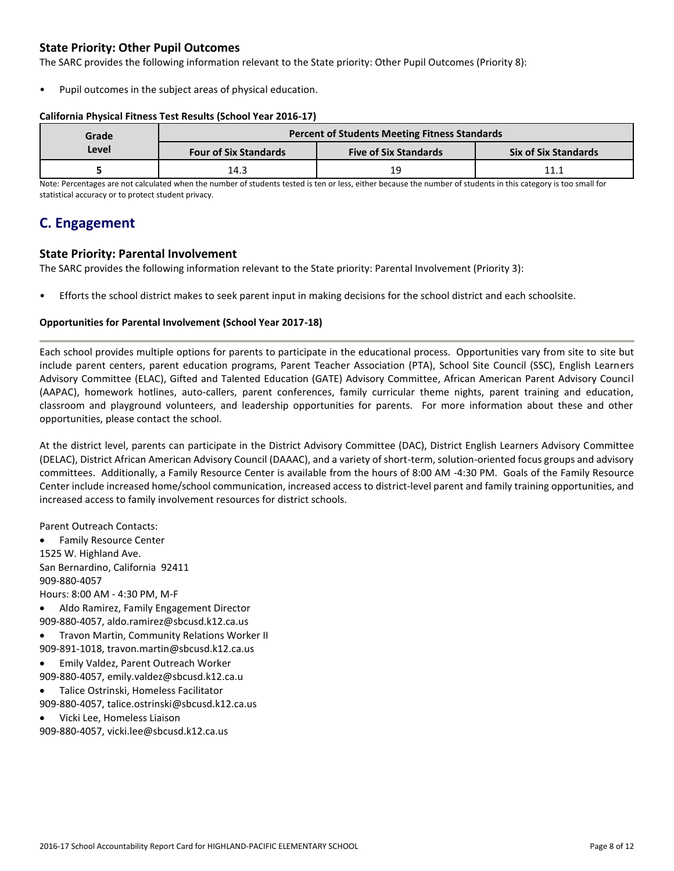## **State Priority: Other Pupil Outcomes**

The SARC provides the following information relevant to the State priority: Other Pupil Outcomes (Priority 8):

Pupil outcomes in the subject areas of physical education.

#### **California Physical Fitness Test Results (School Year 2016-17)**

| Grade | <b>Percent of Students Meeting Fitness Standards</b> |                              |                             |  |  |  |
|-------|------------------------------------------------------|------------------------------|-----------------------------|--|--|--|
| Level | <b>Four of Six Standards</b>                         | <b>Five of Six Standards</b> | <b>Six of Six Standards</b> |  |  |  |
|       | 14.3                                                 | 1 Q                          | 11 1                        |  |  |  |

Note: Percentages are not calculated when the number of students tested is ten or less, either because the number of students in this category is too small for statistical accuracy or to protect student privacy.

# **C. Engagement**

### **State Priority: Parental Involvement**

The SARC provides the following information relevant to the State priority: Parental Involvement (Priority 3):

• Efforts the school district makes to seek parent input in making decisions for the school district and each schoolsite.

#### **Opportunities for Parental Involvement (School Year 2017-18)**

Each school provides multiple options for parents to participate in the educational process. Opportunities vary from site to site but include parent centers, parent education programs, Parent Teacher Association (PTA), School Site Council (SSC), English Learners Advisory Committee (ELAC), Gifted and Talented Education (GATE) Advisory Committee, African American Parent Advisory Council (AAPAC), homework hotlines, auto-callers, parent conferences, family curricular theme nights, parent training and education, classroom and playground volunteers, and leadership opportunities for parents. For more information about these and other opportunities, please contact the school.

At the district level, parents can participate in the District Advisory Committee (DAC), District English Learners Advisory Committee (DELAC), District African American Advisory Council (DAAAC), and a variety of short-term, solution-oriented focus groups and advisory committees. Additionally, a Family Resource Center is available from the hours of 8:00 AM -4:30 PM. Goals of the Family Resource Center include increased home/school communication, increased access to district-level parent and family training opportunities, and increased access to family involvement resources for district schools.

Parent Outreach Contacts:

 Family Resource Center 1525 W. Highland Ave. San Bernardino, California 92411 909-880-4057 Hours: 8:00 AM - 4:30 PM, M-F

- Aldo Ramirez, Family Engagement Director 909-880-4057, aldo.ramirez@sbcusd.k12.ca.us
- Travon Martin, Community Relations Worker II
- 909-891-1018, travon.martin@sbcusd.k12.ca.us
- Emily Valdez, Parent Outreach Worker 909-880-4057, emily.valdez@sbcusd.k12.ca.u
- Talice Ostrinski, Homeless Facilitator 909-880-4057, talice.ostrinski@sbcusd.k12.ca.us
- Vicki Lee, Homeless Liaison

909-880-4057, vicki.lee@sbcusd.k12.ca.us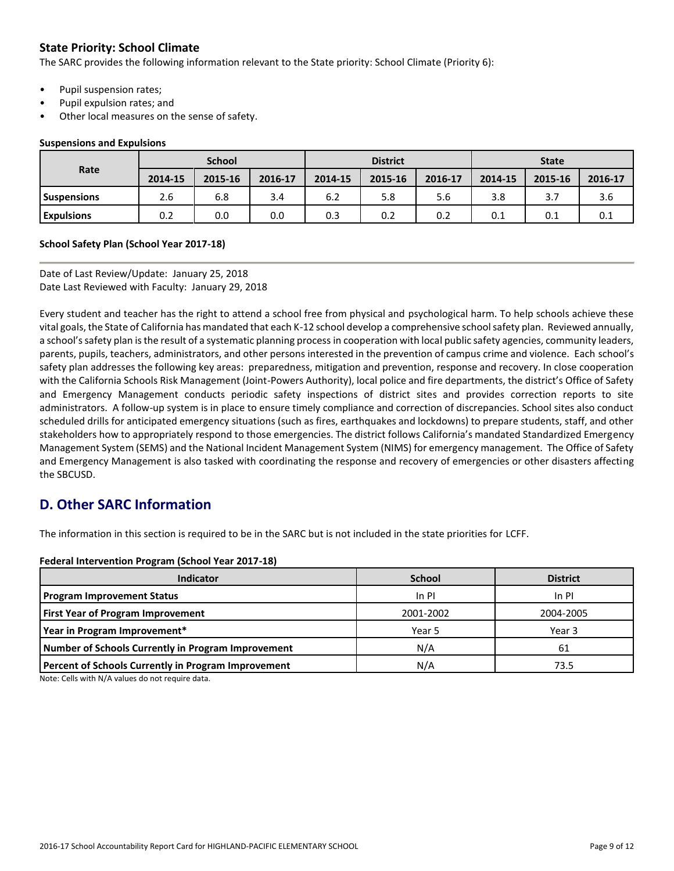# **State Priority: School Climate**

The SARC provides the following information relevant to the State priority: School Climate (Priority 6):

- Pupil suspension rates;
- Pupil expulsion rates; and
- Other local measures on the sense of safety.

#### **Suspensions and Expulsions**

|                    | <b>School</b> |         |         | <b>District</b> |         |         | <b>State</b> |         |         |
|--------------------|---------------|---------|---------|-----------------|---------|---------|--------------|---------|---------|
| Rate               | 2014-15       | 2015-16 | 2016-17 | 2014-15         | 2015-16 | 2016-17 | 2014-15      | 2015-16 | 2016-17 |
| <b>Suspensions</b> | 2.6           | 6.8     | 3.4     | 6.2             | 5.8     | 5.6     | 3.8          | 3.7     | 3.6     |
| <b>Expulsions</b>  | 0.2           | 0.0     | 0.0     | 0.3             | 0.2     | 0.2     | 0.1          | 0.1     | 0.1     |

#### **School Safety Plan (School Year 2017-18)**

Date of Last Review/Update: January 25, 2018 Date Last Reviewed with Faculty: January 29, 2018

Every student and teacher has the right to attend a school free from physical and psychological harm. To help schools achieve these vital goals, the State of California has mandated that each K-12 school develop a comprehensive school safety plan. Reviewed annually, a school's safety plan is the result of a systematic planning process in cooperation with local public safety agencies, community leaders, parents, pupils, teachers, administrators, and other persons interested in the prevention of campus crime and violence. Each school's safety plan addresses the following key areas: preparedness, mitigation and prevention, response and recovery. In close cooperation with the California Schools Risk Management (Joint-Powers Authority), local police and fire departments, the district's Office of Safety and Emergency Management conducts periodic safety inspections of district sites and provides correction reports to site administrators. A follow-up system is in place to ensure timely compliance and correction of discrepancies. School sites also conduct scheduled drills for anticipated emergency situations (such as fires, earthquakes and lockdowns) to prepare students, staff, and other stakeholders how to appropriately respond to those emergencies. The district follows California's mandated Standardized Emergency Management System (SEMS) and the National Incident Management System (NIMS) for emergency management. The Office of Safety and Emergency Management is also tasked with coordinating the response and recovery of emergencies or other disasters affecting the SBCUSD.

# **D. Other SARC Information**

The information in this section is required to be in the SARC but is not included in the state priorities for LCFF.

#### **Federal Intervention Program (School Year 2017-18)**

| <b>Indicator</b>                                           | <b>School</b> | <b>District</b> |
|------------------------------------------------------------|---------------|-----------------|
| <b>Program Improvement Status</b>                          | In PI         | $In$ PI         |
| <b>First Year of Program Improvement</b>                   | 2001-2002     | 2004-2005       |
| Year in Program Improvement*                               | Year 5        | Year 3          |
| Number of Schools Currently in Program Improvement         | N/A           | 61              |
| <b>Percent of Schools Currently in Program Improvement</b> | N/A           | 73.5            |

Note: Cells with N/A values do not require data.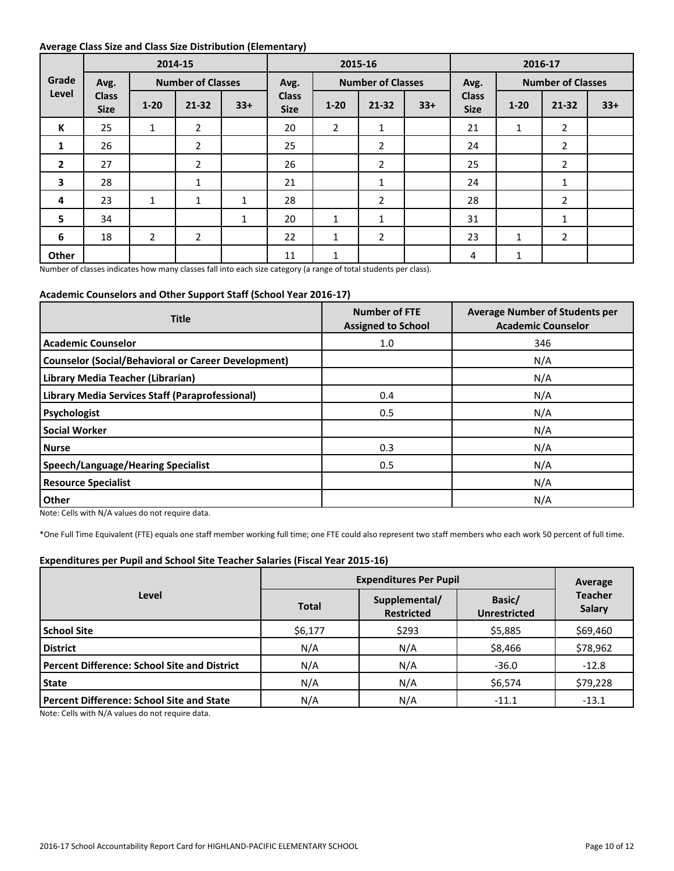#### **Average Class Size and Class Size Distribution (Elementary)**

|                         |                             |                | 2015-16<br>2014-15<br>2016-17 |              |                             |                          |                |       |                             |                          |                |       |
|-------------------------|-----------------------------|----------------|-------------------------------|--------------|-----------------------------|--------------------------|----------------|-------|-----------------------------|--------------------------|----------------|-------|
| Grade                   | Avg.                        |                | <b>Number of Classes</b>      |              | Avg.                        | <b>Number of Classes</b> |                | Avg.  |                             | <b>Number of Classes</b> |                |       |
| Level                   | <b>Class</b><br><b>Size</b> | $1 - 20$       | $21 - 32$                     | $33+$        | <b>Class</b><br><b>Size</b> | $1 - 20$                 | $21 - 32$      | $33+$ | <b>Class</b><br><b>Size</b> | $1 - 20$                 | $21 - 32$      | $33+$ |
| К                       | 25                          | 1              | $\overline{2}$                |              | 20                          | $\overline{2}$           | 1              |       | 21                          | 1                        | $\overline{2}$ |       |
| 1                       | 26                          |                | $\overline{2}$                |              | 25                          |                          | $\overline{2}$ |       | 24                          |                          | $\overline{2}$ |       |
| $\overline{2}$          | 27                          |                | $\overline{2}$                |              | 26                          |                          | $\overline{2}$ |       | 25                          |                          | $\overline{2}$ |       |
| $\overline{\mathbf{3}}$ | 28                          |                | 1                             |              | 21                          |                          | 1              |       | 24                          |                          | 1              |       |
| 4                       | 23                          | $\mathbf{1}$   | $\mathbf{1}$                  | $\mathbf{1}$ | 28                          |                          | $\overline{2}$ |       | 28                          |                          | $\overline{2}$ |       |
| 5                       | 34                          |                |                               | 1            | 20                          | 1                        | $\mathbf{1}$   |       | 31                          |                          | 1              |       |
| 6                       | 18                          | $\overline{2}$ | $\overline{2}$                |              | 22                          | $\mathbf{1}$             | $\overline{2}$ |       | 23                          | $\mathbf{1}$             | $\overline{2}$ |       |
| Other                   |                             |                |                               |              | 11                          | 1                        |                |       | 4                           | 1                        |                |       |

Number of classes indicates how many classes fall into each size category (a range of total students per class).

#### **Academic Counselors and Other Support Staff (School Year 2016-17)**

| <b>Title</b>                                               | <b>Number of FTE</b><br><b>Assigned to School</b> | <b>Average Number of Students per</b><br><b>Academic Counselor</b> |
|------------------------------------------------------------|---------------------------------------------------|--------------------------------------------------------------------|
| <b>Academic Counselor</b>                                  | 1.0                                               | 346                                                                |
| <b>Counselor (Social/Behavioral or Career Development)</b> |                                                   | N/A                                                                |
| Library Media Teacher (Librarian)                          |                                                   | N/A                                                                |
| Library Media Services Staff (Paraprofessional)            | 0.4                                               | N/A                                                                |
| Psychologist                                               | 0.5                                               | N/A                                                                |
| <b>Social Worker</b>                                       |                                                   | N/A                                                                |
| <b>Nurse</b>                                               | 0.3                                               | N/A                                                                |
| <b>Speech/Language/Hearing Specialist</b>                  | 0.5                                               | N/A                                                                |
| <b>Resource Specialist</b>                                 |                                                   | N/A                                                                |
| Other                                                      |                                                   | N/A                                                                |

Note: Cells with N/A values do not require data.

\*One Full Time Equivalent (FTE) equals one staff member working full time; one FTE could also represent two staff members who each work 50 percent of full time.

#### **Expenditures per Pupil and School Site Teacher Salaries (Fiscal Year 2015-16)**

|                                                     |              | Average                            |                               |                                 |
|-----------------------------------------------------|--------------|------------------------------------|-------------------------------|---------------------------------|
| Level                                               | <b>Total</b> | Supplemental/<br><b>Restricted</b> | Basic/<br><b>Unrestricted</b> | <b>Teacher</b><br><b>Salary</b> |
| <b>School Site</b>                                  | \$6,177      | \$293                              | \$5,885                       | \$69,460                        |
| <b>District</b>                                     | N/A          | N/A                                | \$8,466                       | \$78,962                        |
| <b>Percent Difference: School Site and District</b> | N/A          | N/A                                | $-36.0$                       | $-12.8$                         |
| <b>State</b>                                        | N/A          | N/A                                | \$6,574                       | \$79,228                        |
| <b>Percent Difference: School Site and State</b>    | N/A          | N/A                                | $-11.1$                       | $-13.1$                         |

Note: Cells with N/A values do not require data.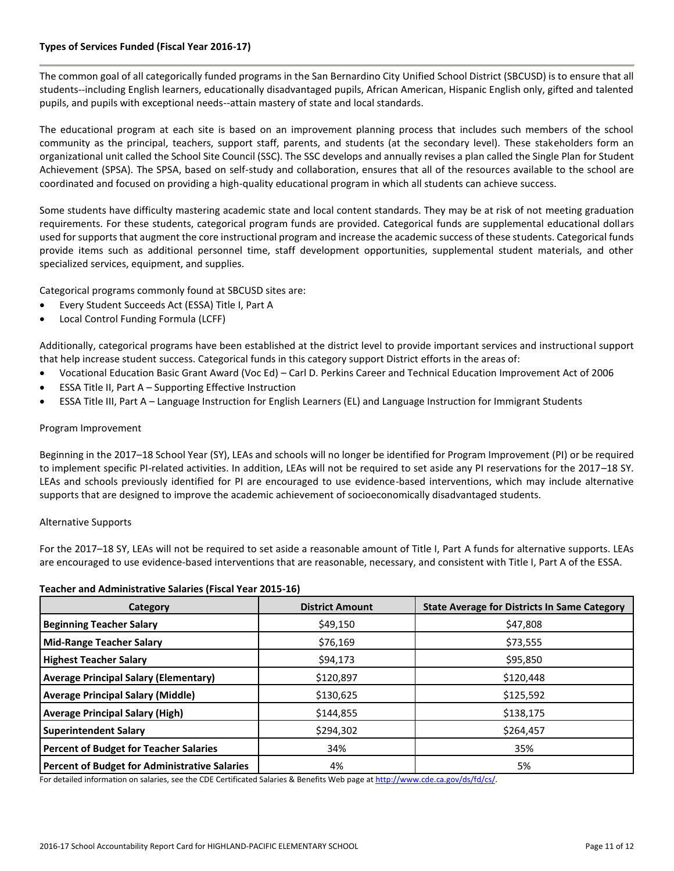#### **Types of Services Funded (Fiscal Year 2016-17)**

The common goal of all categorically funded programs in the San Bernardino City Unified School District (SBCUSD) is to ensure that all students--including English learners, educationally disadvantaged pupils, African American, Hispanic English only, gifted and talented pupils, and pupils with exceptional needs--attain mastery of state and local standards.

The educational program at each site is based on an improvement planning process that includes such members of the school community as the principal, teachers, support staff, parents, and students (at the secondary level). These stakeholders form an organizational unit called the School Site Council (SSC). The SSC develops and annually revises a plan called the Single Plan for Student Achievement (SPSA). The SPSA, based on self-study and collaboration, ensures that all of the resources available to the school are coordinated and focused on providing a high-quality educational program in which all students can achieve success.

Some students have difficulty mastering academic state and local content standards. They may be at risk of not meeting graduation requirements. For these students, categorical program funds are provided. Categorical funds are supplemental educational dollars used for supports that augment the core instructional program and increase the academic success of these students. Categorical funds provide items such as additional personnel time, staff development opportunities, supplemental student materials, and other specialized services, equipment, and supplies.

Categorical programs commonly found at SBCUSD sites are:

- Every Student Succeeds Act (ESSA) Title I, Part A
- Local Control Funding Formula (LCFF)

Additionally, categorical programs have been established at the district level to provide important services and instructional support that help increase student success. Categorical funds in this category support District efforts in the areas of:

- Vocational Education Basic Grant Award (Voc Ed) Carl D. Perkins Career and Technical Education Improvement Act of 2006
- ESSA Title II, Part A Supporting Effective Instruction
- ESSA Title III, Part A Language Instruction for English Learners (EL) and Language Instruction for Immigrant Students

#### Program Improvement

Beginning in the 2017–18 School Year (SY), LEAs and schools will no longer be identified for Program Improvement (PI) or be required to implement specific PI-related activities. In addition, LEAs will not be required to set aside any PI reservations for the 2017–18 SY. LEAs and schools previously identified for PI are encouraged to use evidence-based interventions, which may include alternative supports that are designed to improve the academic achievement of socioeconomically disadvantaged students.

#### Alternative Supports

For the 2017–18 SY, LEAs will not be required to set aside a reasonable amount of Title I, Part A funds for alternative supports. LEAs are encouraged to use evidence-based interventions that are reasonable, necessary, and consistent with Title I, Part A of the ESSA.

#### **Teacher and Administrative Salaries (Fiscal Year 2015-16)**

| Category                                      | <b>District Amount</b> | <b>State Average for Districts In Same Category</b> |
|-----------------------------------------------|------------------------|-----------------------------------------------------|
| <b>Beginning Teacher Salary</b>               | \$49,150               | \$47,808                                            |
| <b>Mid-Range Teacher Salary</b>               | \$76,169               | \$73,555                                            |
| <b>Highest Teacher Salary</b>                 | \$94,173               | \$95,850                                            |
| <b>Average Principal Salary (Elementary)</b>  | \$120,897              | \$120,448                                           |
| <b>Average Principal Salary (Middle)</b>      | \$130,625              | \$125,592                                           |
| <b>Average Principal Salary (High)</b>        | \$144,855              | \$138,175                                           |
| <b>Superintendent Salary</b>                  | \$294,302              | \$264,457                                           |
| <b>Percent of Budget for Teacher Salaries</b> | 34%                    | 35%                                                 |
| Percent of Budget for Administrative Salaries | 4%                     | 5%                                                  |

For detailed information on salaries, see the CDE Certificated Salaries & Benefits Web page a[t http://www.cde.ca.gov/ds/fd/cs/.](http://www.cde.ca.gov/ds/fd/cs/)